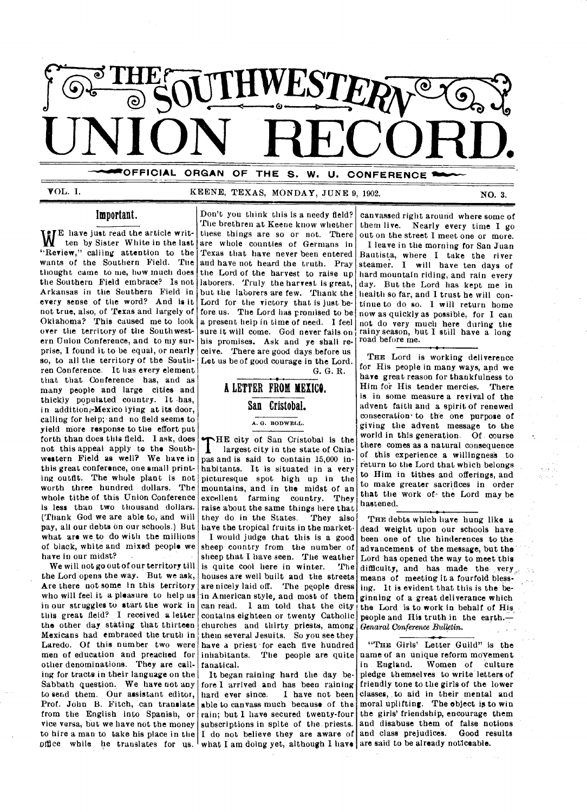

**—"'OFFICIAL ORGAN OF THE S. W. U. CONFERENCE** 

### VOL. I. KEENE, TEXAS, MONDAY, JUNE 9, 1902. NO. 3.

### Important.

W <sup>the</sup> that is a line at the article with<br>"Review," calling attention to the E have just read the article written by Sister White in the last wants of the Southern Field. The thought came to me, how much does the Southern Field embrace? Is not Arkansas in the Southern Field in every sense of the word? And is it not true, also, of Texas and largely of Oklahoma? This caused me to look over the territory of the Southwestern Union Conference, and to my surprise, I found it to be equal, or nearly so, to all the territory of the Southren Conference. It has every element that that Conference has, and as many people and large cities and thickly populated country. It has, in addition, Mexico lying at its door, calling for help; and no field seems to yield more response to the effort put forth than does this field. I ask, does not this appeal apply to the Southwestern Field as well? We have in this great conference, one small printing outfit. The whole plant is not worth three hundred dollars. The whole tithe of this Union Conference is less than two thousand dollars. (Thank God we are able to, and will pay, all our debts on our schools.) But what are we to do with the millions of black, white and mixed people we have in our midst?

We will not go out of our territory till the Lord opens the way. But we ask, Are there not some in this territory who will feel it a pleasure to help us in our struggles to start the work in this great field? I received a letter the other day stating that thirteen Mexicans had embraced the truth in Laredo. Of this number two were men of education and preached for other denominations. They are calling for tracts in their language on the Sabbath question. We have not any to send them. Our assistant editor, Prof. John B. Fitch, can translate from the English into Spanish, or vice versa, but we have not the money subscriptions in spite of the priests. and disabuse them of false notions to hire a man to take his place in the  $\vert$  I do not believe they are aware of and class prejudices. Good results

Don't you think this is a needy field? The brethren at Keene know whether these things are so or not. There are whole counties of Germans in Texas that have never been entered and have not heard the truth. Pray the Lord of the harvest to raise up laborers. Truly the harvest is great, but the laborers are few. Thank the Lord for the victory that is just before us. The Lord has promised to be a present help in time of need. I feel sure it will come. God never fails on his promises. Ask and ye shall receive. There are good days before us Let us be of good courage in the Lord. G. G. R.

> A LETTER FROM MEXICO. San Cristobal.

> > A. G. BODWELL.

**THE** city of San Cristobal is the largest city in the state of Chia-<br>pas and is said to contain 15,000 in-HE city of San Cristobal is the largest city in the state of Chiahabitants. It is situated in a very picturesque spot high up in the mountains, and in the midst of an excellent farming country. They raise about the same things here that<br>they do in the States. They also they do in the States. have the tropical fruits in the market.

I would judge that this is a good sheep country from the number of sheep that I have seen. The weather is quite cool here in winter. The houses are well built and the streets are nicely laid off. The people dress in American style, and most of them can read. I am told that the city contains eighteen or twenty Catholic churches and thirty priests, among them several Jesuits. So you see they have a priest for each five hundred inhabitants. The people are quite fanatical.

office while he translates for us. what I am doing yet, although I have are said to be already noticeable. It began raining hard the day before I arrived and has been raining<br>hard ever since. I have not been hard ever since. able to canvass much because of the rain; but I have secured twenty-four

canvassed right around where some of them live. Nearly every time I go out on the street I meet one or more.

I leave in the morning for San Juan Bautista, where I take the river steamer. I will have ten days of hard mountain riding, and rain every day. But the Lord has kept me in health so far, and I trust he will continue to do so. I will return home now as quickly as possible, for I can not do very much here during the rainy season, but I still have a long road before me.

THE Lord is working deliverence for His people in many ways, and we have great reason for thankfulness to Him for His tender mercies. There is in some measure a revival of the advent faith and a spirit of renewed consecration' to the one purpose of giving the advent message to the world in this generation. Of course there comes as a natural consequence of this experience a willingness to return to the Lord that which belongs to Him in tithes and offerings, and to make greater sacrifices in order that the work of the Lord may be hastened.

THE debts which have hung like a dead weight upon our schools have been one of the hinderences to the advancement of the message, but the Lord has opened the way to meet this difficulty, and has made the very, means of meeting it a fourfold blessing. It is evident that this is the beginning of a great deliverance which the Lord is to work in behalf of His, people and His truth in the earth.-*Genaral Conference Bulletin.* 

"THE Girls' Letter Guild" is the name of an unique reform movement in England. Women of culture pledge themselves to write letters of friendly tone to the girls of the lower classes, .to aid in their mental and moral uplifting. The object is to win the girls' friendship, encourage them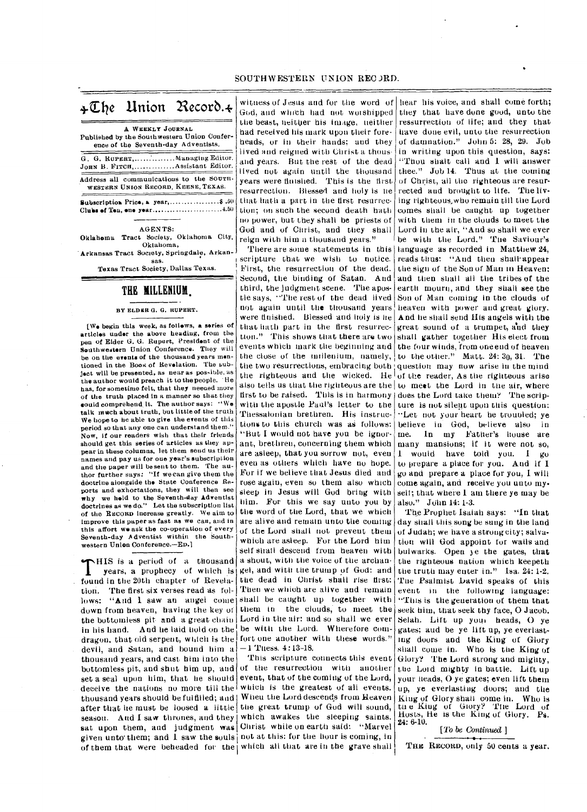# *+Elie* Union Recor6.+

A WEEKLY JOURNAL Published by the Southwestern Union Conference of the Seventh-day Adventists. G. G. RUPERT, .............. Managing Editor. JOHN B. FITCH, .............. Assistant Editor. Address all communications to the SOUTH-WESTERN UNION RECORD, KEENE, TEXAS.

Subscriptios, Price, a year, \$ .5(1 Clubs of Ten, one year............................4.50

AGENTS:

Oklahoma Tract Society, Oklahoma City, Oklahoma, Arkansas Tract Society, Springdale, Arkansas.

Texas Tract Society, Dallas Texas.

### THE **MILLENIUM**.

#### BY ELDER G. G. RUPERT.

[We begin this week, as follows, a series of articles under the above heading, from the pen of Elder G. G. Rupert, President of the Southwestern Union Conference. They will be on the events of the thousand years mentioned in the Book of Revolation. The subject will be presented, as near as possible, as the author would preach it to the people. • He has, for sometime felt, that they neeaed more of the truth placed in a manner so that they sould comprehend, it. The author says: " We talk much about truth, but little of the truth We hope to be able to give the events of this period so that any one can understand them." Now, if our readers wish that their friends should get this series of articles as they appear in these columns, let them send us their names and pay us for one year's subscription and the paper will be sent to them. The author further says: "If We can give them the doctrine alongside the State Conference Reports and exhortations, they will then see why we hold to the Seventh-day Adventist doctrines as we do." Let the subscription list of the RECORD increase greatly. We aim to improve this paper as fast as we can, and in this affort we ask the co-operation of every Seventh-day *<sup>A</sup>* dventist within the Southwestern Union Conference.—ED.]

HIS is a period of a thousand<br>years, a prophecy of which is<br>found in the 20th chapter of Revela-HIS is a period of a thousand **years**, a prophecy of which is tion. The first six verses read as follows: "And I saw an angel come down from heaven, having the key of the bottomless pit and a great chain in his hand. And he laid hold on the dragon. that old serpent, which is the devil, and Satan, and bound him a thousand years, and cast him into the set a seal upon him, that he should deceive the nations no more till the which is the greatest of all events. thousand years should be fulfilled; and  $\vert$  When the Lord descends from Heaven after that he must be loosed a little the great trump of God will sound, season. And I saw thrones, and they which awakes the sleeping saints. sat upon them, and judgment was Christ while on earth said: "Marvel given unto them; and  $1$  saw the souls not at this: for the hour is coming, in

witness of Jesus and for the word of hear his voice, and shall come forth; God, and which had not worshipped the beast, neither his image, neither had received his mark upon their foreheads, or in their hands: and they lived and reigned with Christ a thousand years. But the rest of the dead lived not again until the thousand years were finished. This is the first resurrection. Blessed and holy is he that hash a part in the first resurrection; on such the second death bath no power, but they shall be priests of God and of Christ, and they shall reign with him a thousand years."

There are some statements in this scripture that we wish to notice. First, the resurrection of the dead. Second, the binding of Satan. And third, the judgment scene. The apostle says, "The rest of the dead lived not again until the thousand years were finished. Blessed and holy is he that bath part in the first resurrection." This shows that there are two events which mark the beginning and the close of the nullenium, namely, the two resurrections, embracing both question may now arise in the mind the righteous and the wicked. He also tells us that the righteous are the first to be raised. This is in harmony with the apostle Paul's letter to the Thessalonian brethren. His instructions to this church was as follows: "But I would not have you be ignorant, brethren, concerning them which are asleep, that you sorrow not, even even as others which have no hope. For if we believe that Jesus died and rose again, even so them also which sleep in Jesus will God bring with him. Fur this we say unto you by the word of the Lord, that we which are alive and remain unto the coming of the Lord shall not prevent them which are asleep. For the Lord him self shall descend from heaven with a shout, with the voice of the archan• gel, and with the trump of God: and the dead in Christ shall rise first: Then we which are alive and remain shall be caught up together with them in the clouds, to meet the Lord in the air: and so shall we ever be with the Lord. Wherefore comfort one another with these words."  $-1$  Tuess. 4:13-18.

bottomless pit, and shut him up, and of the resurrection with another This scripture connects this event event, that of the coming of the Lord, of them that were beheaded for the which all that are in the grave shall

they that have done good, unto the ressurrection of life; and they that have done evil, unto the resurrection of damnation." John 5: 28, 29. Job in writing upon this question, says: "Thou shalt call and I will answer thee." Job 14. Thus at the coming of Christ, all the righteous are resurrected and brought to life. The living righteous,who remain till the Lord comes shall be caught up together with them in the clouds to meet the Lord in the air, "And so shall we ever be with the Lord." The Saviour's language as recorded in Matthew 24, reads thus: "And then shall•appear the sign of the Son of Man in Heaven: and then shall all the tribes of the earth mourn, and they shall see the Son of Man coming in the clouds of heaven with power and great glory. And he shall send His angels with the great sound of a trumpet, and they shall gather together His elect from the four winds, from one end of heaven to the other." Matt. 24: 30, 31. The of the reader, As the righteous arise to meet the Lord in the air, where does the Lord take them? The scripture is not silent upon this question: ••Let not your heart be troubled; ye believe in God, believe also in me. In my Father's house are many mansions; if it were not so, I would have told you. I go to prepare a place for you. And if I go and prepare a place for you, I will come again, and receive you unto my. self; that where I am there ye may be also." John 14: 1-3.

The Prophet Isaiah says: "In that day shall this song be sung in the land of Judah; we have a strongcity; salvation will God appoint for walls and bulwarks. Open 3e the gates, that the righteous nation which keepeth the truth may enter in." Isa. 24: 1-2. 'Toe Psalmist Lavid speaks of this event in the following language: "This is the generation of them that seek him, that seek thy face, 0 Jacob. Selah. Lift up your heads, 0 ye gates; and be ye lift up, ye everlasting doors and the King of Glory shall come in. Who is the King of Glory? The Lord strong and mighty, the Loid mighty in battle. Lift up your heads, 0 ye gates; even lift them up, ye everlasting doors; and the King of Glory shall come in. Who is tin e Kiug of Glory? The Lord of Hosts, He is the King of Glory. Ps. 24: 6-10.

[To be Continued ]

THE RECORD, only 50 cents a year,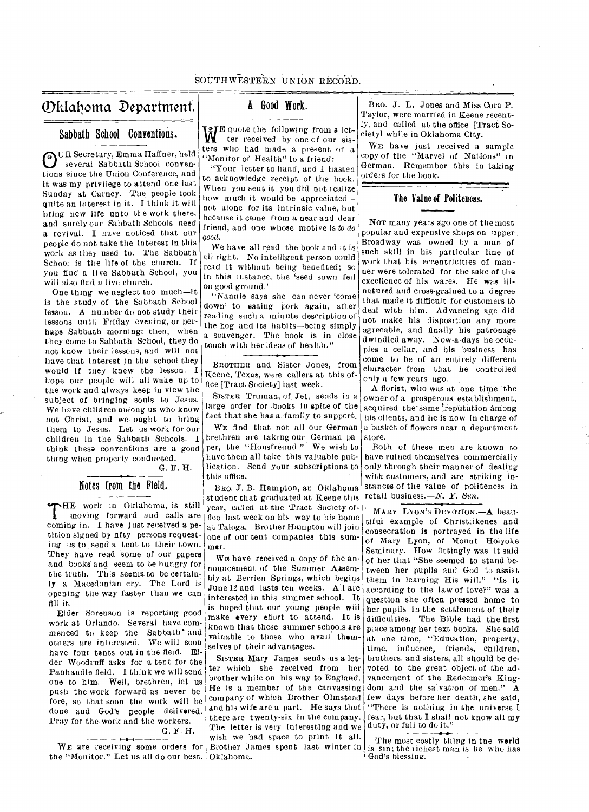# SOUTHWESTERN UNION RECORD.

# Oklahoma Department. | A Good Work.

### Sabbath School Conventions.

OUR Secretary, Emma Haffner, held<br>several Sabbath School convenseveral Sabbath School conventions since the Union Conference, and it was my privilege to attend one last Sunday at Carney. The. people took quite an interest in it. I think it will bring new life unto tl e work there, and surely our Sabbath Schools need a revival. I have noticed that our people do not take the interest in this work as they used to. The Sabbath School is the life of the church. If you find a live Sabbath School, you will also find a live church.

One thing we neglect too much—it is the study of the Sabbath School lesson. A number do not study their lessons until Friday evening, or perhaps Sabbath morning; then, when they come to Sabbath School, they do not know their lessons, and will not have that interest in the school they would if they knew the lesson. I hope our peOple will all wake up to the work and always keep in view the subject of bringing souls to Jesus. We have children among us who know not Christ, and we ought to bring them to Jesus. Let us work for our children in the Sabbath Schools. I think these conventions are a good thing when properly conducted.

G. F. H.

# Notes from the Field.

THE work in Oklahoma, is still<br>moving forward and calls are<br>coming in. I have just received a pe-HE work in Oklahoma, is still moving forward and calls are tition signed by nfty persons requesting us to send a tent to their town. They have read some of our papers and books and seem to be hungry for the truth. This seems to be certainly a Macedonian cry. The Lord is opening the way faster than we can fill it.

Elder Sorenson is reporting good work at Orlando. Several have commenced to keep the Sabbath' and others are interested. We will soon have four tents out in the field. Elder Woodruff asks for a tent for the Panhandle field. I think we will send one to him. Well, brethren, let us push the work forward as never before, so that soon the work will be done and God's people delivered. Pray for the work and the workers.

G. F. H.

the "Monitor." Let us all do our best. Oklahoma.

WE quote the following from a let-<br>ter received by one of our sisters who had made a present of a 'Monitor of Health" to a friend:

"Your letter to hand, and I hasten to acknowledge receipt of the book. When you sent it you did not realize how much it would be appreciated not alone for its intrinsic value, but because it came from a near and dear friend, and one whose motive is *to do good.* 

We have all read the book and it is all right. No intelligent person could read it without being benefited; so in this instance, the 'seed sown fell On good ground.'

"Nanuie says she can never 'come down' to eating pork again, after reading such a minute description of the hog and its habits—being simply a scavenger. The book is in close touch with her ideas of health."

BROTHER and Sister Jones, from Keene, Texas, were callers at this office [Tract Society] last week.

SISTER Truman, of Jet, sends in a large order for ,books in spite of *the*  fact that she has a family to support.

WE find that not all our German brethren are taking our German paper, the "Housfreund " We wish to have them all take this valuable publication. Send your subscriptions to this office.

BRo. J. B. Hampton, an Oklahoma student that graduated at Keene this year, called at the Tract Society office last week on his way to his home at Taloga. Brother Hampton will join one of our tent companies this summer.

WE have received a copy of the announcement of the Summer Assembly at Berrien Springs, which begins June 12 and lasts ten weeks. All are interested in this summer school. It is hoped that our young people will make every effort to attend. It is known that these summer schools are valuable to those who avail themselves of their advantages.

WE are receiving some orders for Brother James spent last winter in SISTER Mary James sends us *a* letter which she received from her brother while on his way to England. He is a member of the canvassing company of which Brother Olmstead and his wife are a part. He says that there are twenty-six in the company. The letter is very interesting and we wish we had space to print it all.

BRO. J. L. Jones and Miss Cora P. Taylor, were married in Keene recently, and called at the office [Tract Society] while in Oklahoma City.

WE have just received a sample copy of the "Marvel of Nations" in German. Remember this in taking orders for the book.

### The Value of Politeness.

NOT many years ago one of the most popular and expensive shops on upper. Broadway was owned by a man of such skill in his particular line of work that his eccentricities of manner were tolerated for the sake of the excellence of his wares. He was illnatured and cross-grained to a degree that made it difficult for customers to deal with him. Advancing age did not make his disposition any more agreeable, and finally his patronage dwindled away. Now-a-days he occupies a cellar, and his business has come to be of an entirely different character from that he controlled only a few years ago.

A florist, who was at one time the owner of a prosperous establishment, acquired the same reputation among his clients, and he is now in charge of a basket of flowers near a department store.

Both of these men are known to have ruined themselves commercially only through their manner of dealing with customers, and are striking instances of the value of politeness in retail business.—*N. Y. Sun.* 

• MARY LYON'S DEVOTION.—A beautiful example of Christlikenes and consecration is portrayed in the *life*  of Mary Lyon, of Mount Holyoke Seminary. How fittingly was it said of her that "She seemed to stand between 'her pupils and God to assist them in learning His will." "Is it according to the law of love?" was a question she often pressed home to her pupils in the settlement of their difficulties. The Bible had the first place among her text books. She said at one time, "Education, property, time, influence, friends, children, brothers, and sisters, all should be devoted to the great object of the advancement of the Redeemer's Kingdom and the salvation of men." A few days before her death, she said, "There is nothing in the universe I fear, but that I shall not know all my duty, or fail to do it."

The most costly thing in tne world is sin; the richest man is he who has God's blessing..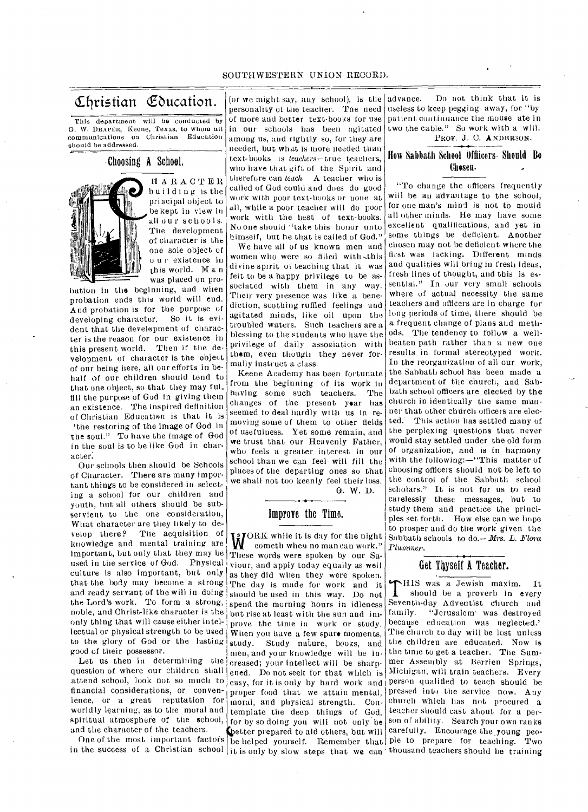#### SOUTHWESTERN UNION RECORD.

# Christian Education.

This department will be conducted by G. \V. DRAPER, Keene, Texas, to whom all communications on Christian Education should be addressed.

# Choosing A School.

EI ARACTER building isthe principal object to be kept in view in all our schools. The development of character is the one sole object of u r existence in this world. Man was placed on pro-

bation in the beginning, and when probation ends this world will end. And probation is for the purpose of developing character. So it is evident that the development of character is the reason for our existence in this present world. Then if the development of character is the object of our being here, all our efforts in behalf of our children should tend to that one object, so that they may ful\_ fill the purpose of God in giving them an existence. The inspired definition of Christian Education is that it is `the restoring of the image of God in the soul." To have the image of God in the soul is to be like God in character:

Our schools then should be Schools of Character. There are many important things to be considered in selecting a school for our children and youth, but all others should be subservient to the one consideration, What character are they likely to develop there? The acquisition of The acquisition of knowledge and mental training are<br>important, but only that they may be and ready servant of the will in doing<br>the Lord's work. To form a strong, important, but only that they may be These words were spoken by our Sa-<br>used in the service of God. Physical viour and apply today equally as well. culture is also important, but only that the body may become a strong only thing that will cause either intel- prove the time in work or study. lectual or physical strength to be used When you have a few spare moments,

and the character of the teachers. question of where our children shall worldly learning, as to the moral and

(or we might say, any school), is the advance. personality of the teacher. The need of more and better text-books for use in our schools has been agitated among us, and rightly so, for they are needed, but what is more needed than text-books is teachers—true teachers, who have that gift of the Spirit and therefore can teach  $A$  teacher who is called of God could and does do good work with poor text-books or none at all, while a poor teacher will do poor work with the best of text-books. No one should "take this honor unto himself, but he that is called of God."

We have all of us known men and women who were so filled with this divine spirit of teaching that it was felt to be a happy privilege to be associated with them in any way. Their very presence was like a benediction, soothing ruffled feelings and agitated minds, like oil upon the troubled waters. Such teachers are a blessing to the students who have the privilege of daily association with them, even though they never formally instruct a class.

Keene Academy has been fortunate from the beginning of its work in<br>having some such teachers. The having some such teachers. changes of the present year has seemed to deal hardly with us in removing some of them to other fields of usefulness. Yet some remain, and we trust that our Heavenly Father, who feels a greater interest in our school than we can feel will fill the places of the departing ones so that we shall not too keenly feel their loss. G. W. D.

# Improve the Time.

spiritual atmosphere of the school, for by so doing you will not only be in the success of a Christian school it is only by slow steps that we can thousand teachers should be training as they did when they were spoken.<br>The day is made for work and it WORK while it is day for the night<br>cometh when no man can work." viour, and apply today equally as well should be used in this way. Do not spend the morning hours in idleness noble, and Christ-like character is the but rise at least with the sun and imto the glory of God or the lasting study. Study nature, books, and good of their possessor.  $\frac{1}{2}$  or their possessor.<br>Let us then in determining the creased your intellect will be sharpcreased; your intellect will be sharp-<br>ened. Do not seek for that which is ience, or a great reputation for moral, and physical strength. Con-

Do not think that it is useless to keep pegging away, for "by patient continuance the mouse ate in two the cable." So work with a will. PROF. J. C. ANDERSON.

# How Sabbath School Officers. Should Be Chosen.

"To change the officers frequently will be an advantage to the school, for one man's mind is not to mould all other minds. He may have some excellent qualifications, and yet in some things be deficient. Another chosen may not be deficient where the first was lacking. Different minds and qualities will bring in fresh ideas, fresh lines of thought, and this is essential." In our very small schools where of actual necessity the same teachers and officers are in charge for long periods of time, there should be a frequent change of plans and methods. The tendency to follow a wellbeaten path rather than a new one results in formal stereotyped work. In the reorganization of all our work, the Sabbath school has been made a department of the church, and Sabbath school officers are elected by the church in identically the same manner that other chdrch officers are elected.. This action has settled many of the perplexing questions that never would stay settled under the old form of organization, and is in harmony with the following:—"This matter of choosing officers should not be left to the control of the Sabbath school scholars." It is not for us to read carelessly these messages, but to study them and practice the principles set forth. How else can we hope to prosper and do the work given the Sabbath schools to do. - Mrs. L. Flora Plummer.

# Get Thyself A Teacher.

One of the most important factors be helped yourself. Remember that ple to prepare for teaching. Two better prepared to aid others, but will carefully. Encourage the young peo-THIS was a Jewish maxim. It<br>should be a proverb in every<br>Seventh-day Adventist church and HIS was a Jewish maxim. It should be a proverb in every family. "Jerusalem was destroyed because education was neglected.' The church to day will be lost unless the children are educated. Now is the time to get a teacher. The Summer Assembly at Berrien Springs, Michigan, will train teachers. Every attend school, look not so much to easy, for it is only by hard work and person qualified to teach should be financial considerations, or conven- proper food that we attain mental, pressed into the service now. Any church which has not procured a teacher should cast about for a person of ability. Search your own ranks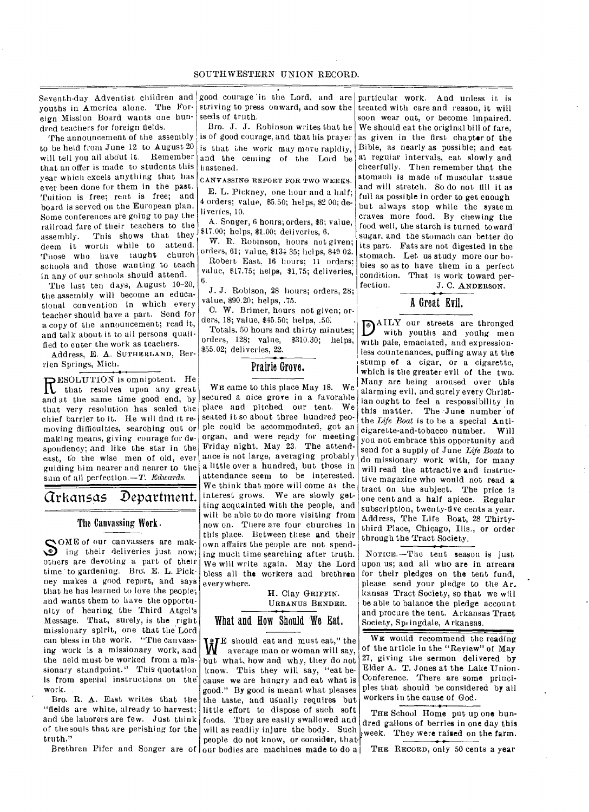Seventh-day Adventist children and good courage in the Lord, and are particular work. And unless it is youths in America alone. The For- striving to press onward, and sow the eign Mission Board wants one hundred teachers for foreign fields.

The announcement of the assembly to be held from June 12 to August 20 will tell you all about it. Remember that an offer is made to students this year which excels anything that has ever been done for them in the past. Tuition is free; rent is free; and board is served on the European plan. Some conferences are going to pay the railroad fare of their teachers to the assembly. This shows that they deem it worth while to attend. Those who have taught church schools and those wanting to teach in any of our schools should attend.

The last ten days, August 10-20, the assembly will become an educational convention in which every teacher should have a part. Send for a copy of the announcement; read it, and talk about it to all persons qualified to enter the work as teachers.

Address, E. A. SUTHERLAND, Berrien Springs, Mich.

RESOLUTION is omnipotent. He<br>
R that resolves upon any great<br>
read at the same time good and by that resolves upon any great and at the same time good end, by that very resolution has scaled the chief barrier to it. Ile will find it removing difficulties, searching out or making means, giving courage for despondency; and like the star in the east, to the wise men of old, ever guiding him nearer and nearer to the sum of all perfection.-T. *Edwards*.

# arkansas Department.

#### The Canvassing Work.

SOME of our canvassers are mak-<br>ing their deliveries just now; ing their deliveries just now; others are devoting a part of their time to gardening. Bro. E. L. Pickney makes a good report, and says that he has learned to love the people; and wants them to have the opportunity of hearing, the Third Atgel's Message. That, surely, is the right missionary spirit, one that the Lord can bless in the work. "The canvassing work is a missionary work, and the field must be worked from a missionary standpoint." This quotation is from special instructions on the work. .

Bro. R. A. East writes that the "fields are white, already to harvest; and the laborers are few. Just think of the souls that are perishing for the truth."

seeds of truth.

Bro. J. J. Robinson writes that he is of good courage, and that his prayer is that the work may move rapidly, and the ceming of the Lord be hastened.

CANVASSING REPORT FOR TWO WEEKS. E. L. Pickney, one hour and a half;

4 orders; value, \$5.50; helps, \$2 00; deliveries, 10.

A. Songer, 6 hours; orders, \$6; value, \$17.00; helps, \$1.00; deliveries, 6.

W. R. Robinson, hours not given; orders, 61; value, \$134 35; helps, \$49 02. Robert East, 16 hours; 11 orders; value, \$17.75; helps, \$1.75; deliveries, 6.

J. J. Robison, 28 hours; orders, 28; value, \$90.20; helps, .75.

C. W. Brimer, hours not given; orders, 18; value, \$45.50; helps, .50:

Totals, 50 hours and thirty minutes; orders, 128; value, \$310.30; helps, \$55.02; deliveries, 22.

# Prairie Grove.

WE came to this place May 18. We secured a nice grove in a favorable place and pitched our tent. We seated it so about three hundred people could be accommodated, got an organ, and were ready for meeting Friday night, May 23. The attendance is not large, averaging probably a little over a hundred, but those in attendance seem to be interested. We think that more will come as the interest grows. We are slowly getting acquainted with the people, and will be able to do more visiting from now on. There are four churches in this place. Between these and their own affairs the people are not spending much time searching after truth. We will write again. May the Lord bless all the workers and brethren everywhere.

> H. Clay GRIFFIN. URBANUS BENDER.

# What and How Should 'We Eat.

Brethren Pifer and Songer are of our bodies are machines made to do a WE should eat and must eat," the average man or woman will say, average man or woman will say, but what, how and why, they do not know. This they will say, "eat because we are hungry and eat what is good." By good is meant what pleases the taste, and usually requires but little effort to dispose of such soft foods. They are easily swallowed and will as readily injure the body. Such people do not know, or consider, that

treated with care and reason, it will soon wear out, or become impaired. We should eat the original bill of fare, as given in the first chapter of the Bible, as nearly as possible; and eat at regular intervals, eat slowly and cheerfully. Then remember that the stomach is made of muscular tissue and will stretch. So do not fill it as full as possible in order to get enough but always stop while the system craves more food. By chewing the food well, the starch is turned toward. sugar, and the stomach can better do its part. Fats are not digested in the stomach. Let us study more our bobies so as to have them in a perfect condition. That is work toward per-<br>fection.  $J. C. A NDERSON$ . J. C. ANDERSON.

# A Great Evil.

DAILY our streets are thronged<br>with youths and young men with youths and youhg men with pale, emaciated, and expressionless countenances, puffing away at the stump of a cigar, or a cigarette, which is the greater evil of the two. Many are being aroused over this alarming evil, and surely every Christian ought to feel a responsibility in this matter. The June number of the *Life Boat* is to be a special Anticigarette-and-tobacco number. Will you•not embrace this opportunity and send for a supply of June *Life Boats* to do missionary work with, for many will read the attractive and instructive magazine who would not read a tract on the subject. The price is one cent and a half apiece. Regular subscription, twenty-five cents a year. Address, The Life Boat, 28 Thirtythird Place, Chicago, Ills., or order through the Tract Society.

NOTICE.—Tlie tent season is just upon us; and all who are in arrears for their pledges on the tent fund, please send your pledge to the Ar. kansas Tract Society, so that we will be able to balance the pledge account and procure the tent. Arkansas Tract Society, Springdale, Arkansas.

WE would recommend the reading of the article in the "Review" of May 27, giving the sermon delivered by Elder A. T. Jones at the Lake Union-Conference. There are some principles that should be considered by all workers in the cause of God.

THE School Home put up one hundred gallons of berries in one day this week. They were raised on the farm.

THE RECORD, only 50 cents a year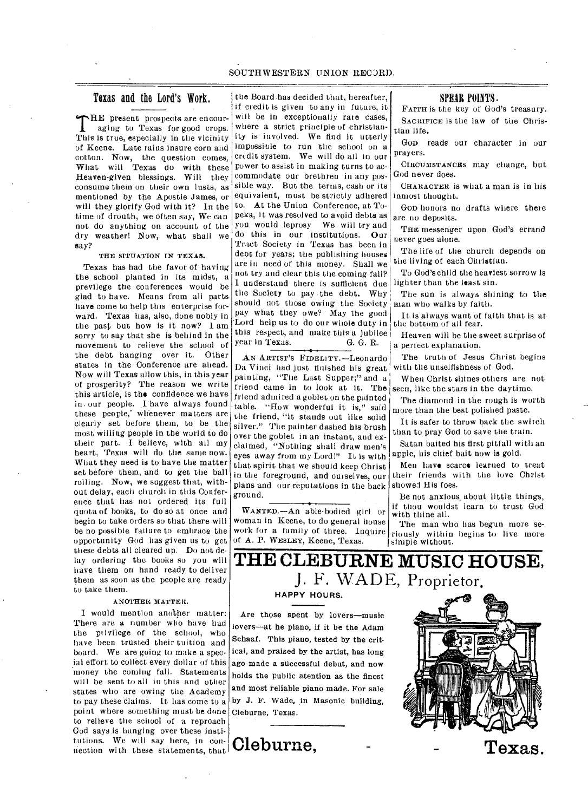# Texas and the Lord's Work.

THE present prospects are encour-<br>aging to Texas for good crops.<br>This is true, especially in the vicinity HE present prospects are encouraging to Texas for good crops. of Keene. Late rains insure corn and cotton. Now, the question comes, What will Texas do with these Heaven-given blessings. Will they consume them on their own lusts, as mentioned by the Apostle James, or will they glorify God with it? In the time of drouth, we often say, We can not do anything on account of the dry weather! Now, what shall we say?

#### THE SITUATION IN TEXAS.

Texas has had the favor of having the school planted in its midst, a previlege the conferences would be glad to have. Means from all parts have come to help this enterprise forward. Texas has, also, done nobly in the past but how is it now? 1 am sorry to say that she is behind in the movement to relieve the school of the debt hanging over it. Other states in the Conference are ahead. Now will Texas allow this, in this year of prosperity? The reason we write this article, is the confidence we have in. our people. I'have always found these people,' whenever matters are clearly set before them, to be the most willing people in the world to do their part. I believe, with all my heart, Texas will do the same now. What they need is to have the matter set before them, and to get the ball rolling. Now, we suggest that, without delay, each church in this Conference that has not ordered its full quota of hooks, to do so at once and begin to take orders so that there will be no possible failure to embrace the opportunity God has given us to get these debts all cleared up. Do not delay ordering the books so you will have them on hand ready to deliver them as soon as the people are ready to take them.

#### ANOTHER MATTER.

I would mention another matter: There are a number who have had the privilege of the school, who have been trusted their tuition and board. We are going to make a special effort to collect every dollar of this money the coming fall. Statements will be sent to all in this and other states who are owing the Academy to pay these claims. It has come to a point where something must be done Cleburne, Texas. to relieve the school of a reproach God says is hanging over these institutions. We will say here, in contutions. We will say here, in contutions. We will say here, in con-  $\bigcap$  **Cleburne**,

the Board.has decided that, hereafter, if credit is given to any in future, it will be in exceptionally rare cases, where a strict principle of Christianity is involved. We find it utterly impossible to run the school on a credit system. We will do all in our power to assist in making turns to accommodate our brethren in any possible way. But the terms, cash or its equivalent, must be strictly adhered to. At the Union Conference, at Topeka, it was resolved to avoid debts as you would leprosy We will try and do this in our institutions. Our Tract Society in Texas has been in debt for years; the publishing houses are in need of this money. Shall we

not try and clear this the coming fall? I understand there is sufficient due the Society to pay the debt. Why should not those owing the Society pay what they owe? May the good Lord help us to do our whole duty in this respect, and make this a jubilee<br>year in Texas.  $\alpha$ . G. R. :

Da Vinci had just finished his great painting, "The Last Supper;" and  $a_1^+$  When Christ shines others are not friend came in to look at it. The seen, like the stars in the daytime. friend admired a goblet on the painted table. "How wonderful it is," said the friend, "it stands out like solid silver." The painter dashed his brush over the goblet in an instant, and exclaimed, "Nothing shall draw men's eyes away from my Lord!" It is with that spirit that we should keep Christ in the foreground, and ourselves, our plans and our reputations in the back ground.

WANTED.—An able-bodied girl or woman in Keene, to do general house work for a family of three. Inquire of A. P. WESLEY, Keene, Texas.

### SPEAR POINTS.

FAITH is the key of God's treasury. SACRIFICE is the law of the Christian life.

GOD reads our character in our prayers.

CIRCUMSTANCES may change, but God never does.

CHARACTER is what a man is in his inmost thought.

GOD honors no drafts where there are no deposits.

THE messenger upon God's errand never goes alone.

The life of the church depends on the living of each Christian.

To God's child the heaviest sorrow is lighter than the least sin.

The sun is always shining to the man who walks by faith.

It is always want of faith that is at the bottom of all fear.

Heaven will be the sweet surprise of G. G. R.  $|a|$  perfect explanation.

AN ARTIST's FIDELITY.—Leonardo The truth of Jesus Christ begins a Vinci had just fluished his great with the unselfishness of God.

The diamond in the rough is worth more than the best polished paste.

It is safer to throw back the switch than to pray God to save the train.

Satan baited his first pitfall with an apple, his chief bait now is gold.

Men have scarce learned to treat their friends with the love Christ showed His foes.

Be not anxious\_ about little things, if thou wouldst learn to trust God with thine all.

The man who has begun more seriously within begins to live more simple without.

# **THE CLEBURNE MUSIC HOUSE,**  J. F. WADE, Proprietor,

# **HAPPY HOURS.**

Are those spent by lovers—music lovers—at he piano, if it be the Adam Schaaf. This piano, tested by the critical, and praised by the artist, has long ago made a successful debut, and now holds the public atention as the finest and most reliable piano made. For sale by J. F. Wade, in Masonic building,

**Texas.**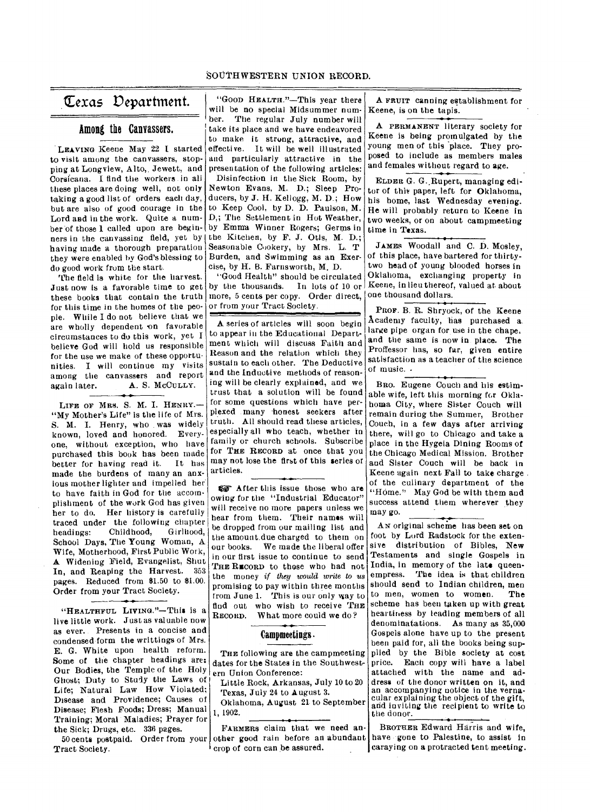# (texas Vepartment.

# Among the Canvassers.

LEAVING Keene May 22 I started to visit among the canvassers, stopping at Longview, Alto, Jewett, and Corsicana. I find the workers in all these places are doing well, not only taking a good list of orders each day, but are also of good courage in the Lord and in the work. Quite a number of those 1 called upon are beginners in the canvassing field, yet by the Kitchen, by F. J. Otis, M. D.; having made a thorough preparation they were enabled by God's blessing to do good work from the start.

The field is white for the harvest. Just now is a favorable time to get these books that contain the truth for this time in the homes of the people. While I do not believe that we are wholly dependent on favorable circumstances to do this work, yet I believe God will hold us responsible for the use we make of these opportunities. I will continue my visits among the canvassers and report<br>again later. A. S. McCULLY. A. S. McCULLY.

LIFE OF MRS. S. M. I. HENRY.-"My Mother's Life" is the life of Mrs. S. M. I. Henry, who . was widely known, loved and honored. Everyone, without exception, who have purchased this book has been made<br>hetter for having read it. It has better for having read it. made the burdens of many an anxious mother lighter and impelled her to have faith in God for the accomplishment of the work God has given her to do. Her history is carefully traced under the following chapter<br>headings: Childhood, Girlhood, Childhood, School Days, The Young Woman, A Wife, Motherhood, First Public Work, A Widening Field, Evangelist, Shut In, and Reaping the Harvest. 353 pages. Reduced from \$1.50 to \$1.00. Order from your Tract Society.

"HEALTHFUL LIVING."—This is a live little work. Just as valuable now as ever. Presents in a concise and condensed form the writtings of Mrs. E. G. White upon health reform. Some of the chapter headings are: Our Bodies, the Temple of the Holy Ghost; Duty to Study the Laws of Life; Natural Law How Violated; Disease and Providence; Causes of Disease; Flesh Foods; Dress; Manual Training; Moral Maladies; Prayer for the Sick; Drugs, etc. 338 pages.

50 cents postpaid. Order from your Tract Society.

"Goon HEALTH."—This year there will be no special Midsummer number. The regular July number will take its place and we have endeavored to make it strong, attractive, and effective. It will be well illustrated and particularly attractive in the presentation of the following articles:

Disinfection in the Sick Room, by Newton Evans, M. D.; Sleep Producers, by J. H. Kellogg, M. D.; How to Keep Cool, by D. D. Paulson, M. D,; The Settlement in Hot Weather, by Emma Winner Rogers; Germs in Seasonable Cookery, by Mrs. L. T Burden, and Swimming as an Exercise, by H. B. Farnsworth, M. D.

"Good Health" should be circulated by the thousands. In lots of 10 or more, 5 cents per copy. Order direct, or from your Tract Society.

A series of articles will soon begin to appear in the Educational Department which will discuss Faith and Reason and the relation which they sustain to each other. The Deductive and the Inductive methods of reasoning will be clearly explained, and we trust that a solution will be found for some questions which have perplexed many 'honest seekers after truth. All should read these articles, especially all who teach, whether in family or church schools. Subscribe for THE RECORD at once that you may not lose the first of this series or articles.

Ur After this issue those who are owing for the "Industrial Educator" will receive no more papers unless we hear from them. Their names will be dropped from our mailing list and the amount,due charged to them on<br>our books. We made the liberal offer We made the liberal offer in our first issue to continue to send THE RECORD to those who had not the money *if they would write to us*  promising to pay within three months from June 1. This is our only way to find out who wish to receive THE<br>RECORD. What more could we do? What more could we do?

### Campmeetings

THE following are the campmeeting dates for the States in the Southwestern Union Conference:

Little Rock, Arkansas, July 10 to 20 Texas, July 24 to August 3.

Oklahoma, August 21 to September 1, 1902.

FARMERS claim that we need another good rain before an abundant crop of corn can be assured.

A FRUIT canning establishment for Keene, is on the tapis.

A PERMANENT literary society for Keene is being promulgated by the young men of this place. They proposed to include as members males and females without regard to age.

ELDER G. G.,Rupert, managing editor of this paper, left for Oklahoma, his home, last Wednesday evening. He will probably return to Keene in two weeks, or on about campmeeting time in Texas.

JAMES Woodall and C. D. Mosley, of this place, have bartered for thirtytwo head of young blooded horses in Oklahoma, exchanging property in Keene, in lieu thereof, valued at about one thousand dollars.

PROF. B. R. Shryock, of the Keene Academy faculty, has purchased a. large pipe organ for use in the chape, and the same is now in place. The Proffessor has, so far, given entire satisfaction as a teacher of the science of music. •

BRO. Eugene Couch and his estimable wife, left this morning for Oklahoma City, where Sister Couch will remain during the Summer, Brother Couch, in a few days after arriving there, will go to Chicago and take a place in the Hygeia Dining Rooms of the Chicago Medical Mission. Brother and Sister Couch will be back in Keene again next Fall to take charge. of the culinary department of the "Home." May God be with them and success attend them wherever they may go.

AN original scheme has been set on foot by Lord Radstock for the extensive distribution of Bibles, New Testaments and single Gospels in India, in memory of the late queenempress. The idea is that children should send to Indian children, men<br>to men, women to women. The to men, women to women. scheme has been taken up with great heartiness by leading members of all denominatations. As many as 35,000 Gospels alone have up to the present been paid for, all the books being supplied by the Bible society at cost price. Each copy will have a label attached with the name and address of the donor written on it, and an accompanying notice in the vernacular explaining the object of the gift, arid inviting the recipient to write to the donor.

BROTHER Edward Harris and wife, have gone to Palestine, to assist in caraying on a protracted tent meeting.